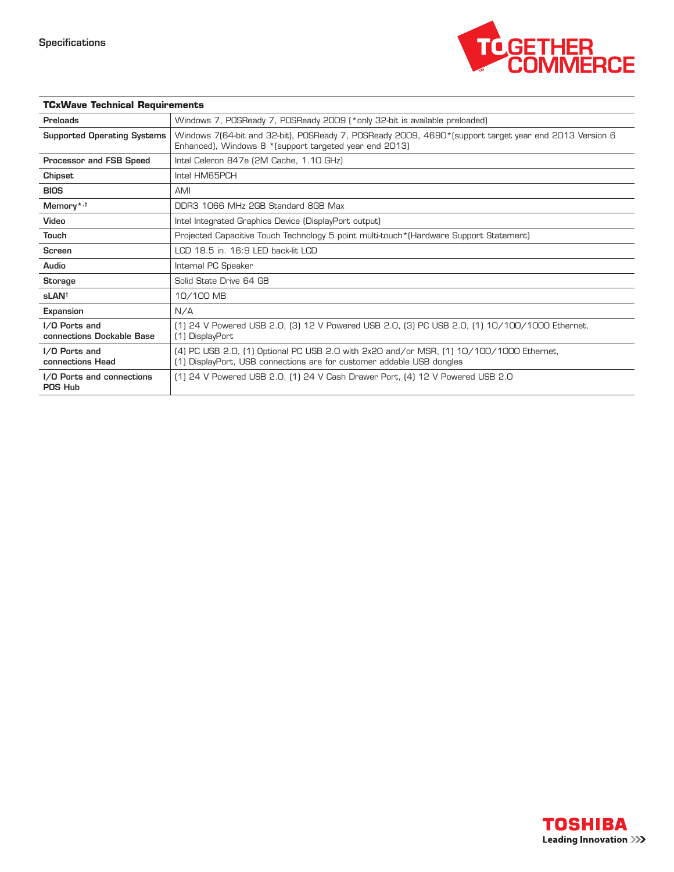

| <b>TCxWave Technical Requirements</b>      |                                                                                                                                                                  |
|--------------------------------------------|------------------------------------------------------------------------------------------------------------------------------------------------------------------|
| Preloads                                   | Windows 7, POSReady 7, POSReady 2009 (*only 32-bit is available preloaded)                                                                                       |
| <b>Supported Operating Systems</b>         | Windows 7(64-bit and 32-bit), POSReady 7, POSReady 2009, 4690*(support target year end 2013 Version 6<br>Enhanced), Windows 8 * (support targeted year end 2013) |
| Processor and FSB Speed                    | Intel Celeron 847e (2M Cache, 1.10 GHz)                                                                                                                          |
| Chipset                                    | Intel HM65PCH                                                                                                                                                    |
| <b>BIOS</b>                                | <b>AMI</b>                                                                                                                                                       |
| Memory* <sup>,†</sup>                      | DDR3 1066 MHz 2GB Standard 8GB Max                                                                                                                               |
| Video                                      | Intel Integrated Graphics Device (DisplayPort output)                                                                                                            |
| <b>Touch</b>                               | Projected Capacitive Touch Technology 5 point multi-touch * (Hardware Support Statement)                                                                         |
| <b>Screen</b>                              | LCD 18.5 in. 16:9 LED back-lit LCD                                                                                                                               |
| Audio                                      | Internal PC Speaker                                                                                                                                              |
| <b>Storage</b>                             | Solid State Drive 64 GB                                                                                                                                          |
| sLAN <sup>t</sup>                          | 10/100 MB                                                                                                                                                        |
| Expansion                                  | N/A                                                                                                                                                              |
| I/O Ports and<br>connections Dockable Base | (1) 24 V Powered USB 2.0, (3) 12 V Powered USB 2.0, (3) PC USB 2.0, (1) 10/100/1000 Ethernet,<br>(1) DisplayPort                                                 |
| I/O Ports and<br>connections Head          | (4) PC USB 2.0, (1) Optional PC USB 2.0 with 2x20 and/or MSR, (1) 10/100/1000 Ethernet,<br>(1) DisplayPort, USB connections are for customer addable USB dongles |
| I/O Ports and connections<br>POS Hub       | [1] 24 V Powered USB 2.0, [1] 24 V Cash Drawer Port, [4] 12 V Powered USB 2.0                                                                                    |